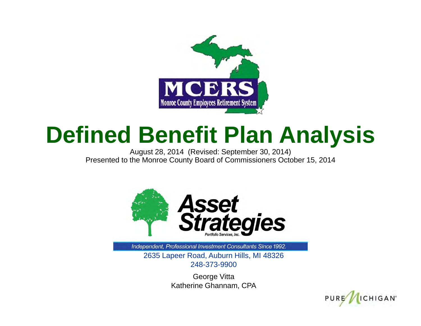

#### **Defined Benefit Plan Analysis**

August 28, 2014 (Revised: September 30, 2014) Presented to the Monroe County Board of Commissioners October 15, 2014



Independent, Professional Investment Consultants Since 1992.

2635 Lapeer Road, Auburn Hills, MI 48326 248-373-9900

> George Vitta Katherine Ghannam, CPA

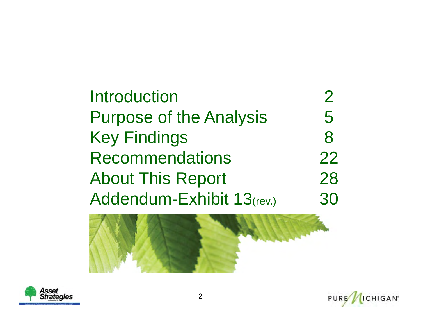#### **Introduction** n 2 Purpose of the Analysis 5 Key Findings 8 Recommendations 22About This Report 28 Addendum-Exhibit 13(rev.) 30





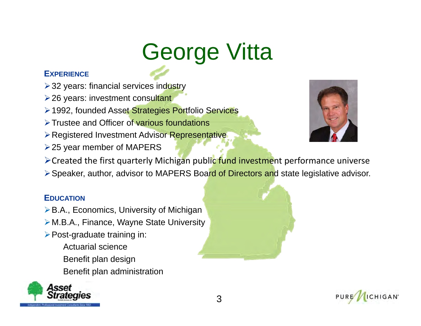# George Vitta

#### **EXPERIENCE**

- **> 32 years: financial services industry**
- **≥26 years: investment consultant**
- **► 1992, founded Asset Strategies Portfolio Services**
- > Trustee and Officer of various foundations
- **Example 2 Pregistered Investment Advisor Representative**
- $\geq$  25 year member of MAPERS



- > Created the first quarterly Michigan public fund investment performance universe
- ▶ Speaker, author, advisor to MAPERS Board of Directors and state legislative advisor.

#### **EDUCATION**

- ▶B.A., Economics, University of Michigan
- M.B.A., Finance, Wayne State University
- $\triangleright$  Post-graduate training in:
	- Actuarial scienceBenefit plan design Benefit plan administration





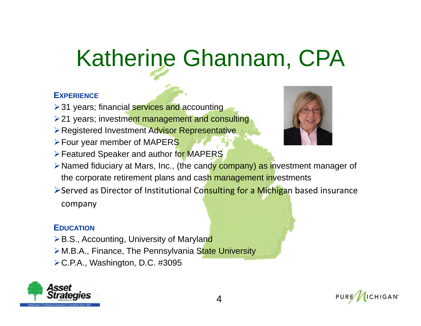# Katherine Ghannam, CPA

#### **EXPERIENCE**

- $\geq$  31 years; financial services and accounting
- $\geq$  21 years; investment management and consulting
- Registered Investment Advisor Representative
- **Four year member of MAPERS**
- **► Featured Speaker and author for MAPERS**



- ▶ Named fiduciary at Mars, Inc., (the candy company) as investment manager of the corporate retirement plans and cash management investments
- >Served as Director of Institutional Consulting for a Michigan based insurance company

#### **EDUCATION**

- **≻B.S., Accounting, University of Maryland**
- > M.B.A., Finance, The Pennsylvania State University
- C.P.A., Washington, D.C. #3095



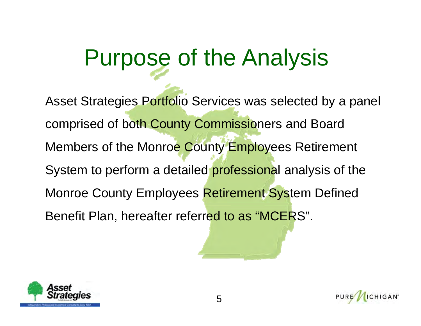### Purpose of the Analysis

Asset Strategies Portfolio Services was selected by a panel comprised of both County Commissioners and Board Members of the Monroe County Employees Retirement System to perform a detailed professional analysis of the Monroe County Employees Retirement System Defined Benefit Plan, hereafter referred to as "MCERS".



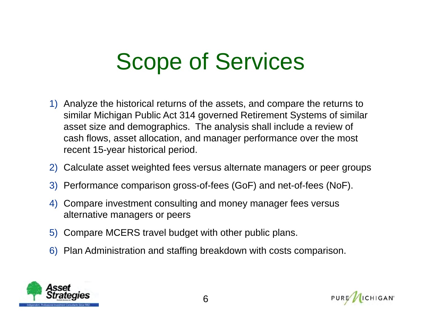### Scope of Services

- 1) Analyze the historical returns of the assets, and compare the returns to similar Michigan Public Act 314 governed Retirement Systems of similar asset size and demographics. The analysis shall include a review of cash flows, asset allocation, and manager performance over the most recent 15-year historical period.
- 2) Calculate asset weighted fees versus alternate managers or peer groups
- 3) Performance comparison gross-of-fees (GoF) and net-of-fees (NoF).
- 4) Compare investment consulting and money manager fees versus alternative managers or peers
- 5) Compare MCERS travel budget with other public plans.
- 6) Plan Administration and staffing breakdown with costs comparison.



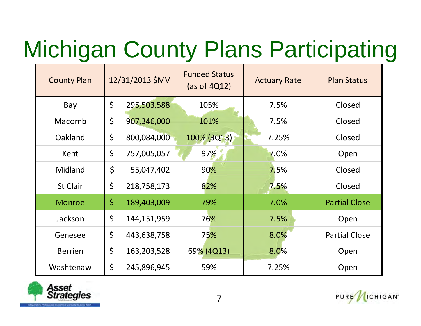# Michigan County Plans Participating

| <b>County Plan</b> | 12/31/2013 \$MV |             | <b>Funded Status</b><br>(as of 4Q12) | <b>Actuary Rate</b> | <b>Plan Status</b>   |  |
|--------------------|-----------------|-------------|--------------------------------------|---------------------|----------------------|--|
| Bay                | \$              | 295,503,588 | 105%                                 | 7.5%                | Closed               |  |
| Macomb             | \$              | 907,346,000 | 101%                                 | 7.5%                | Closed               |  |
| Oakland            | \$              | 800,084,000 | 100% (3Q13)                          | 7.25%               | Closed               |  |
| Kent               | \$              | 757,005,057 | 97%                                  | 7.0%                | Open                 |  |
| Midland            | \$              | 55,047,402  | 90%                                  | 7.5%                | Closed               |  |
| St Clair           | \$              | 218,758,173 | 82%                                  | 7.5%                | Closed               |  |
| <b>Monroe</b>      | $\varsigma$     | 189,403,009 | 79%                                  | 7.0%                | <b>Partial Close</b> |  |
| Jackson            | $\zeta$         | 144,151,959 | 76%                                  | 7.5%                | Open                 |  |
| Genesee            | $\zeta$         | 443,638,758 | 75%                                  | 8.0%                | <b>Partial Close</b> |  |
| <b>Berrien</b>     | $\zeta$         | 163,203,528 | 69% (4Q13)                           | 8.0%                | Open                 |  |
| Washtenaw          | $\zeta$         | 245,896,945 | 59%                                  | 7.25%               | Open                 |  |

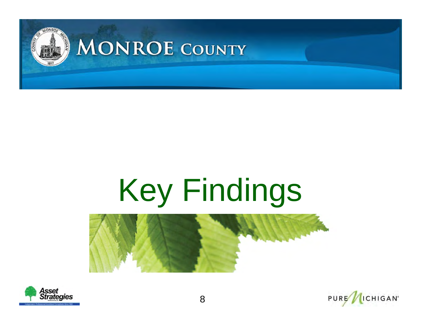

# Key Findings





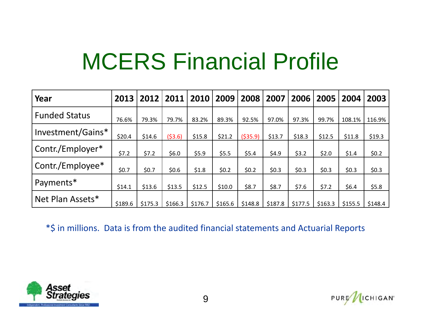### MCERS Financial Profile

| Year                 | 2013    | 2012    | 2011    | 2010    | 2009    | 2008    | 2007    | 2006    | 2005    | 2004    | 2003    |
|----------------------|---------|---------|---------|---------|---------|---------|---------|---------|---------|---------|---------|
| <b>Funded Status</b> | 76.6%   | 79.3%   | 79.7%   | 83.2%   | 89.3%   | 92.5%   | 97.0%   | 97.3%   | 99.7%   | 108.1%  | 116.9%  |
| Investment/Gains*    | \$20.4  | \$14.6  | (53.6)  | \$15.8  | \$21.2  | (535.9) | \$13.7  | \$18.3  | \$12.5  | \$11.8  | \$19.3  |
| Contr./Employer*     | \$7.2   | \$7.2   | \$6.0   | \$5.9   | \$5.5   | \$5.4   | \$4.9   | \$3.2   | \$2.0   | \$1.4   | \$0.2\$ |
| Contr./Employee*     | \$0.7   | \$0.7   | \$0.6   | \$1.8   | \$0.2\$ | \$0.2\$ | \$0.3\$ | \$0.3\$ | \$0.3   | \$0.3   | \$0.3   |
| Payments*            | \$14.1  | \$13.6  | \$13.5  | \$12.5  | \$10.0  | \$8.7   | \$8.7   | \$7.6   | \$7.2   | \$6.4\$ | \$5.8   |
| Net Plan Assets*     | \$189.6 | \$175.3 | \$166.3 | \$176.7 | \$165.6 | \$148.8 | \$187.8 | \$177.5 | \$163.3 | \$155.5 | \$148.4 |

\*\$ in millions. Data is from the audited financial statements and Actuarial Reports



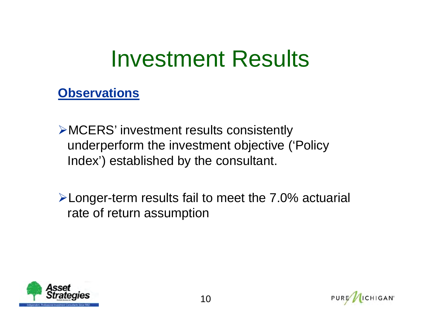#### Investment Results

- MCERS' investment results consistently underperform the investment objective ('Policy Index') established by the consultant.
- Longer-term results fail to meet the 7.0% actuarial rate of return assumption



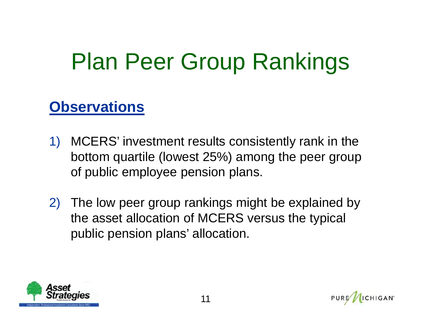### Plan Peer Group Rankings

- 1) MCERS' investment results consistently rank in the bottom quartile (lowest 25%) among the peer group of public employee pension plans.
- 2) The low peer group rankings might be explained by the asset allocation of MCERS versus the typical public pension plans' allocation.



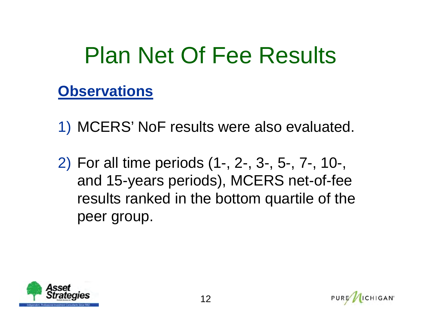### Plan Net Of Fee Results

- 1) MCERS' NoF results were also evaluated.
- 2) For all time periods (1-, 2-, 3-, 5-, 7-, 10-, and 15-years periods), MCERS net-of-fee results ranked in the bottom quartile of the peer group.

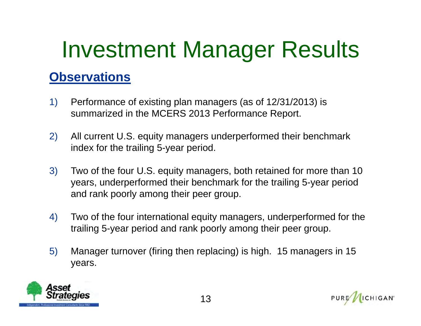# Investment Manager Results

- 1) Performance of existing plan managers (as of 12/31/2013) is summarized in the MCERS 2013 Performance Report.
- 2) All current U.S. equity managers underperformed their benchmark index for the trailing 5-year period.
- 3) Two of the four U.S. equity managers, both retained for more than 10 years, underperformed their benchmark for the trailing 5-year period and rank poorly among their peer group.
- 4) Two of the four international equity managers, underperformed for the trailing 5-year period and rank poorly among their peer group.
- 5) Manager turnover (firing then replacing) is high. 15 managers in 15 years.

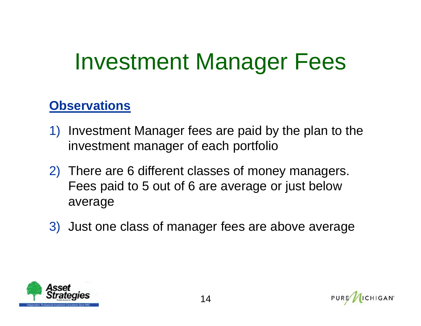#### Investment Manager Fees

- 1) Investment Manager fees are paid by the plan to the investment manager of each portfolio
- 2) There are 6 different classes of money managers. Fees paid to 5 out of 6 are average or just below average
- 3) Just one class of manager fees are above average



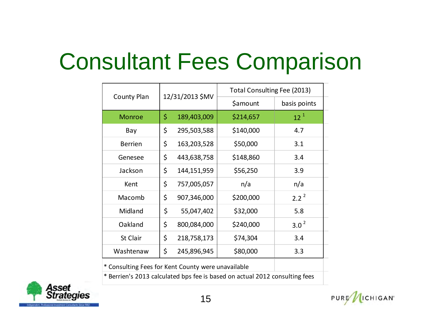### Consultant Fees Comparison

|                                                    |             | Total Consulting Fee (2013) |                                                                          |  |  |
|----------------------------------------------------|-------------|-----------------------------|--------------------------------------------------------------------------|--|--|
|                                                    |             | <b>\$amount</b>             | basis points                                                             |  |  |
| \$                                                 | 189,403,009 | \$214,657                   | $12^{1}$                                                                 |  |  |
| \$                                                 | 295,503,588 | \$140,000                   | 4.7                                                                      |  |  |
| \$                                                 | 163,203,528 | \$50,000                    | 3.1                                                                      |  |  |
| \$                                                 | 443,638,758 | \$148,860                   | 3.4                                                                      |  |  |
| \$                                                 | 144,151,959 | \$56,250                    | 3.9                                                                      |  |  |
| \$                                                 | 757,005,057 | n/a                         | n/a                                                                      |  |  |
| \$                                                 | 907,346,000 | \$200,000                   | $2.2^{2}$                                                                |  |  |
| \$                                                 | 55,047,402  | \$32,000                    | 5.8                                                                      |  |  |
| \$                                                 | 800,084,000 | \$240,000                   | 3.0 <sup>2</sup>                                                         |  |  |
| \$                                                 | 218,758,173 | \$74,304                    | 3.4                                                                      |  |  |
| \$                                                 | 245,896,945 | \$80,000                    | 3.3                                                                      |  |  |
| * Consulting Fees for Kent County were unavailable |             |                             |                                                                          |  |  |
|                                                    |             | 12/31/2013 \$MV             | * Demisels 2012 selected has fee is keepd en setuel 2012 sensuiting fees |  |  |

\*Berrien's 2013 calculated bps fee is based on actual 2012 consulting fees



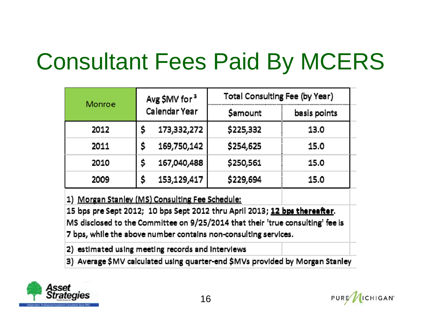### Consultant Fees Paid By MCERS

| Avg \$MV for <sup>3</sup> | Total Consulting Fee (by Year) |              |  |  |  |
|---------------------------|--------------------------------|--------------|--|--|--|
| Calendar Year             | Samount                        | basis points |  |  |  |
| 173,332,272<br>\$         | \$225,332                      | 13.0         |  |  |  |
| 169,750,142<br>Ŝ          | \$254,625                      | 15.0         |  |  |  |
| 167,040,488<br>\$         | \$250,561                      | 15.0         |  |  |  |
| 153,129,417<br>\$         | \$229,694                      | 15.0         |  |  |  |
|                           |                                |              |  |  |  |

1) Morgan Stanley (MS) Consulting Fee Schedule:

15 bps pre Sept 2012; 10 bps Sept 2012 thru April 2013; 12 bps thereafter. MS disclosed to the Committee on 9/25/2014 that their 'true consulting' fee is 7 bps, while the above number contains non-consulting services.

2) estimated using meeting records and interviews

3) Average \$MV calculated using quarter-end \$MVs provided by Morgan Stanley

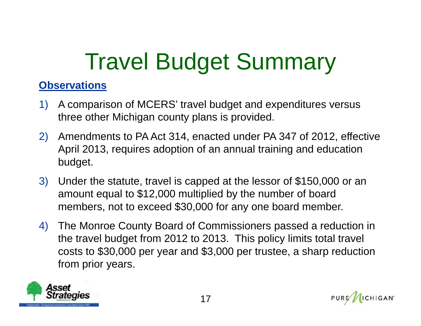## Travel Budget Summary

- 1) A comparison of MCERS' travel budget and expenditures versus three other Michigan county plans is provided.
- 2) Amendments to PA Act 314, enacted under PA 347 of 2012, effective April 2013, requires adoption of an annual training and education budget.
- 3) Under the statute, travel is capped at the lessor of \$150,000 or an amount equal to \$12,000 multiplied by the number of board members, not to exceed \$30,000 for any one board member.
- 4) The Monroe County Board of Commissioners passed a reduction in the travel budget from 2012 to 2013. This policy limits total travel costs to \$30,000 per year and \$3,000 per trustee, a sharp reduction from prior years.



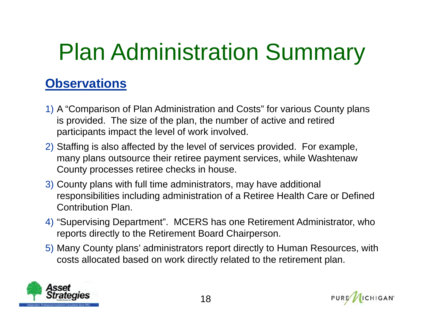# Plan Administration Summary

- 1) A "Comparison of Plan Administration and Costs" for various County plans is provided. The size of the plan, the number of active and retired participants impact the level of work involved.
- 2) Staffing is also affected by the level of services provided. For example, many plans outsource their retiree payment services, while Washtenaw County processes retiree checks in house.
- 3) County plans with full time administrators, may have additional responsibilities including administration of a Retiree Health Care or Defined Contribution Plan.
- 4) "Supervising Department". MCERS has one Retirement Administrator, who reports directly to the Retirement Board Chairperson.
- 5) Many County plans' administrators report directly to Human Resources, with costs allocated based on work directly related to the retirement plan.



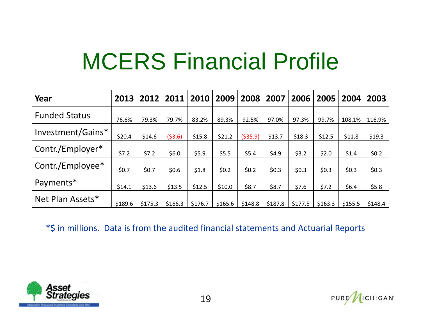### MCERS Financial Profile

| Year                 | 2013    | 2012    | 2011    | 2010    | 2009    | 2008      | 2007    | 2006    | 2005    | 2004    | 2003    |
|----------------------|---------|---------|---------|---------|---------|-----------|---------|---------|---------|---------|---------|
| <b>Funded Status</b> | 76.6%   | 79.3%   | 79.7%   | 83.2%   | 89.3%   | 92.5%     | 97.0%   | 97.3%   | 99.7%   | 108.1%  | 116.9%  |
| Investment/Gains*    | \$20.4  | \$14.6  | (53.6)  | \$15.8  | \$21.2  | ( \$35.9) | \$13.7  | \$18.3  | \$12.5  | \$11.8  | \$19.3  |
| Contr./Employer*     | \$7.2   | \$7.2   | \$6.0   | \$5.9   | \$5.5   | \$5.4     | \$4.9   | \$3.2   | \$2.0   | \$1.4   | \$0.2\$ |
| Contr./Employee*     | \$0.7   | \$0.7   | \$0.6\$ | \$1.8   | \$0.2\$ | \$0.2\$   | \$0.3   | \$0.3\$ | \$0.3\$ | \$0.3\$ | \$0.3\$ |
| Payments*            | \$14.1  | \$13.6  | \$13.5  | \$12.5  | \$10.0  | \$8.7     | \$8.7   | \$7.6   | \$7.2   | \$6.4   | \$5.8   |
| Net Plan Assets*     | \$189.6 | \$175.3 | \$166.3 | \$176.7 | \$165.6 | \$148.8   | \$187.8 | \$177.5 | \$163.3 | \$155.5 | \$148.4 |

\*\$ in millions. Data is from the audited financial statements and Actuarial Reports

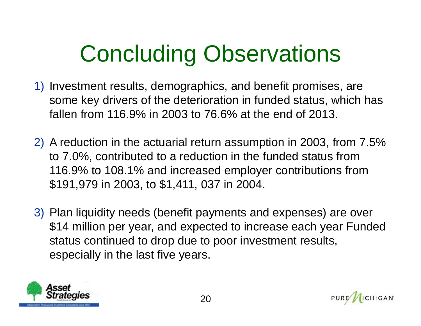# Concluding Observations

- 1) Investment results, demographics, and benefit promises, are some key drivers of the deterioration in funded status, which has fallen from 116.9% in 2003 to 76.6% at the end of 2013.
- 2) A reduction in the actuarial return assumption in 2003, from 7.5% to 7.0%, contributed to a reduction in the funded status from 116.9% to 108.1% and increased employer contributions from \$191,979 in 2003, to \$1,411, 037 in 2004.
- 3) Plan liquidity needs (benefit payments and expenses) are over \$14 million per year, and expected to increase each year Funded status continued to drop due to poor investment results, especially in the last five years.



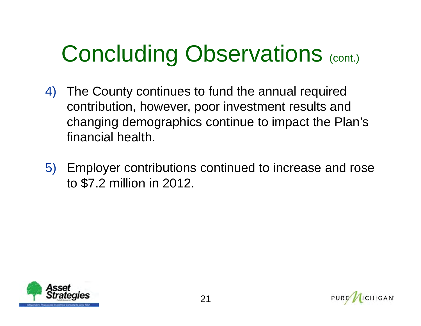# Concluding Observations (cont.)

- 4) The County continues to fund the annual required contribution, however, poor investment results and changing demographics continue to impact the Plan's financial health.
- 5) Employer contributions continued to increase and rose to \$7.2 million in 2012.



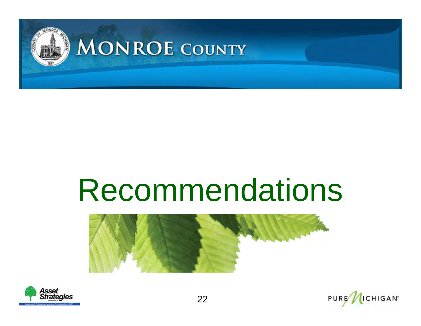

# Recommendations





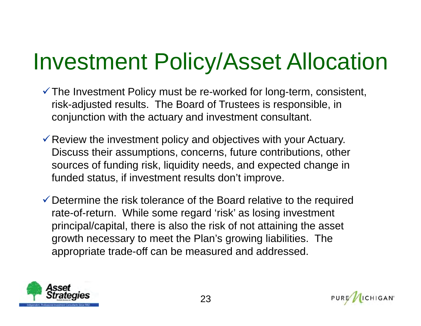#### Investment Policy/Asset Allocation

- $\checkmark$  The Investment Policy must be re-worked for long-term, consistent, risk-adjusted results. The Board of Trustees is responsible, in conjunction with the actuary and investment consultant.
- $\checkmark$  Review the investment policy and objectives with your Actuary. Discuss their assumptions, concerns, future contributions, other sources of funding risk, liquidity needs, and expected change in funded status, if investment results don't improve.
- $\checkmark$  Determine the risk tolerance of the Board relative to the required rate-of-return. While some regard 'risk' as losing investment principal/capital, there is also the risk of not attaining the asset growth necessary to meet the Plan's growing liabilities. The appropriate trade-off can be measured and addressed.



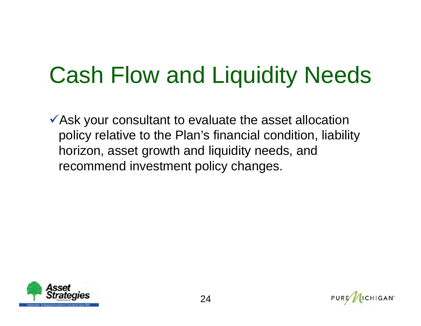### Cash Flow and Liquidity Needs

Ask your consultant to evaluate the asset allocation policy relative to the Plan's financial condition, liability horizon, asset growth and liquidity needs, and recommend investment policy changes.



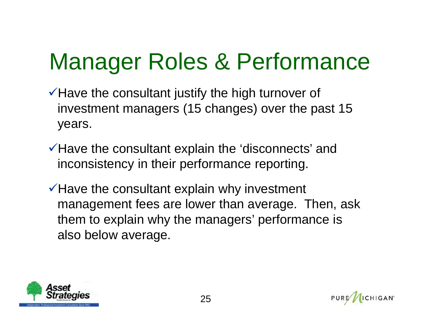### Manager Roles & Performance

- $\checkmark$  Have the consultant justify the high turnover of investment managers (15 changes) over the past 15 years.
- $\checkmark$  Have the consultant explain the 'disconnects' and inconsistency in their performance reporting.
- $\checkmark$  Have the consultant explain why investment management fees are lower than average. Then, ask them to explain why the managers' performance is also below average.



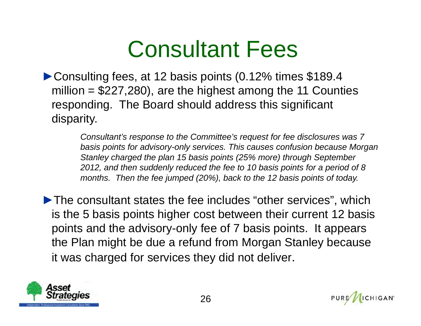#### Consultant Fees

►Consulting fees, at 12 basis points (0.12% times \$189.4 million  $= $227,280$ , are the highest among the 11 Counties responding. The Board should address this significant disparity.

> *Consultant's response to the Committee's request for fee disclosures was 7 basis points for advisory-only services. This causes confusion because Morgan Stanley charged the plan 15 basis points (25% more) through September 2012, and then suddenly reduced the fee to 10 basis points for a period of 8 months. Then the fee jumped (20%), back to the 12 basis points of today.*

►The consultant states the fee includes "other services", which is the 5 basis points higher cost between their current 12 basis points and the advisory-only fee of 7 basis points. It appears the Plan might be due a refund from Morgan Stanley because it was charged for services they did not deliver.



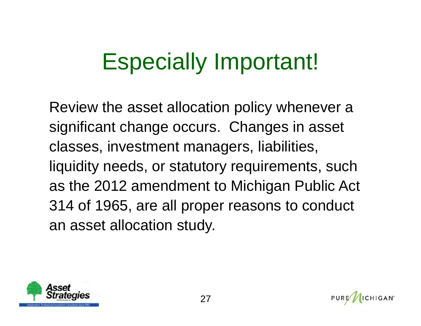#### Especially Important!

Review the asset allocation policy whenever a significant change occurs. Changes in asset classes, investment managers, liabilities, liquidity needs, or statutory requirements, such as the 2012 amendment to Michigan Public Act 314 of 1965, are all proper reasons to conduct an asset allocation study.

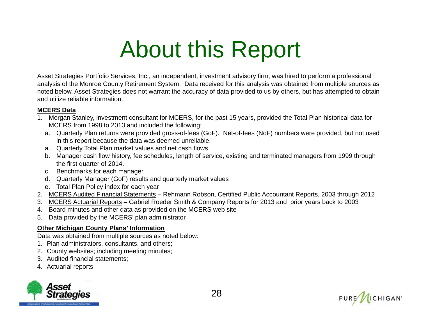### About this Report

Asset Strategies Portfolio Services, Inc., an independent, investment advisory firm, was hired to perform a professional analysis of the Monroe County Retirement System. Data received for this analysis was obtained from multiple sources as noted below. Asset Strategies does not warrant the accuracy of data provided to us by others, but has attempted to obtain and utilize reliable information.

#### **MCERS Data**

- 1. Morgan Stanley, investment consultant for MCERS, for the past 15 years, provided the Total Plan historical data for MCERS from 1998 to 2013 and included the following:
	- a. Quarterly Plan returns were provided gross-of-fees (GoF). Net-of-fees (NoF) numbers were provided, but not used in this report because the data was deemed unreliable.
	- a. Quarterly Total Plan market values and net cash flows
	- b. Manager cash flow history, fee schedules, length of service, existing and terminated managers from 1999 through the first quarter of 2014.
	- c. Benchmarks for each manager
	- d. Quarterly Manager (GoF) results and quarterly market values
	- e. Total Plan Policy index for each year
- 2. MCERS Audited Financial Statements Rehmann Robson, Certified Public Accountant Reports, 2003 through 2012
- 3. MCERS Actuarial Reports Gabriel Roeder Smith & Company Reports for 2013 and prior years back to 2003
- 4. Board minutes and other data as provided on the MCERS web site
- 5. Data provided by the MCERS' plan administrator

#### **Other Michigan County Plans' Information**

Data was obtained from multiple sources as noted below:

- 1. Plan administrators, consultants, and others;
- 2. County websites; including meeting minutes;
- 3. Audited financial statements;
- 4. Actuarial reports



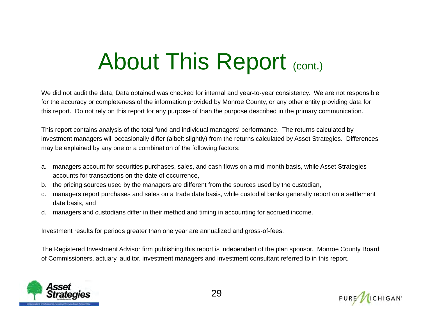#### About This Report (cont.)

We did not audit the data, Data obtained was checked for internal and year-to-year consistency. We are not responsible for the accuracy or completeness of the information provided by Monroe County, or any other entity providing data for this report. Do not rely on this report for any purpose of than the purpose described in the primary communication.

This report contains analysis of the total fund and individual managers' performance. The returns calculated by investment managers will occasionally differ (albeit slightly) from the returns calculated by Asset Strategies. Differences may be explained by any one or a combination of the following factors:

- a. managers account for securities purchases, sales, and cash flows on a mid-month basis, while Asset Strategies accounts for transactions on the date of occurrence,
- b. the pricing sources used by the managers are different from the sources used by the custodian,
- c. managers report purchases and sales on a trade date basis, while custodial banks generally report on a settlement date basis, and
- d. managers and custodians differ in their method and timing in accounting for accrued income.

Investment results for periods greater than one year are annualized and gross-of-fees.

The Registered Investment Advisor firm publishing this report is independent of the plan sponsor, Monroe County Board of Commissioners, actuary, auditor, investment managers and investment consultant referred to in this report.